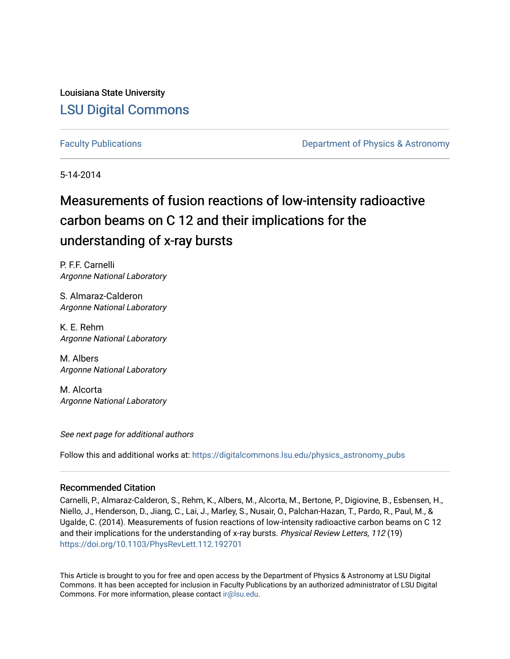Louisiana State University [LSU Digital Commons](https://digitalcommons.lsu.edu/)

[Faculty Publications](https://digitalcommons.lsu.edu/physics_astronomy_pubs) **Exercise 2 and Table 2 and Table 2 and Table 2 and Table 2 and Table 2 and Table 2 and Table 2 and Table 2 and Table 2 and Table 2 and Table 2 and Table 2 and Table 2 and Table 2 and Table 2 and Table** 

5-14-2014

## Measurements of fusion reactions of low-intensity radioactive carbon beams on C 12 and their implications for the understanding of x-ray bursts

P. F.F. Carnelli Argonne National Laboratory

S. Almaraz-Calderon Argonne National Laboratory

K. E. Rehm Argonne National Laboratory

M. Albers Argonne National Laboratory

M. Alcorta Argonne National Laboratory

See next page for additional authors

Follow this and additional works at: [https://digitalcommons.lsu.edu/physics\\_astronomy\\_pubs](https://digitalcommons.lsu.edu/physics_astronomy_pubs?utm_source=digitalcommons.lsu.edu%2Fphysics_astronomy_pubs%2F3071&utm_medium=PDF&utm_campaign=PDFCoverPages) 

## Recommended Citation

Carnelli, P., Almaraz-Calderon, S., Rehm, K., Albers, M., Alcorta, M., Bertone, P., Digiovine, B., Esbensen, H., Niello, J., Henderson, D., Jiang, C., Lai, J., Marley, S., Nusair, O., Palchan-Hazan, T., Pardo, R., Paul, M., & Ugalde, C. (2014). Measurements of fusion reactions of low-intensity radioactive carbon beams on C 12 and their implications for the understanding of x-ray bursts. Physical Review Letters, 112 (19) <https://doi.org/10.1103/PhysRevLett.112.192701>

This Article is brought to you for free and open access by the Department of Physics & Astronomy at LSU Digital Commons. It has been accepted for inclusion in Faculty Publications by an authorized administrator of LSU Digital Commons. For more information, please contact [ir@lsu.edu](mailto:ir@lsu.edu).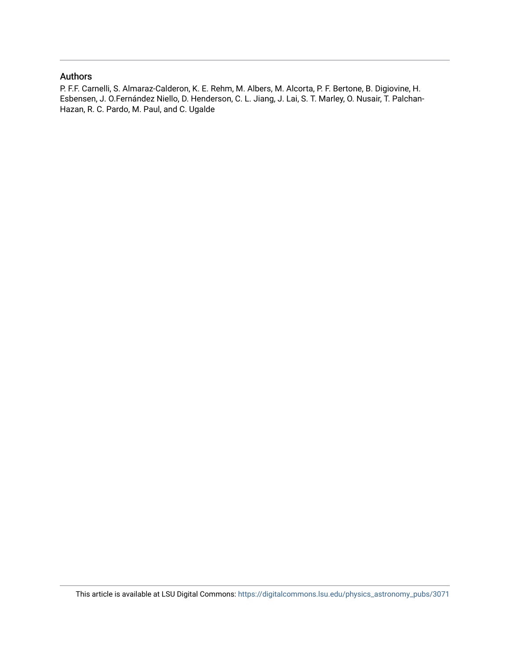## Authors

P. F.F. Carnelli, S. Almaraz-Calderon, K. E. Rehm, M. Albers, M. Alcorta, P. F. Bertone, B. Digiovine, H. Esbensen, J. O.Fernández Niello, D. Henderson, C. L. Jiang, J. Lai, S. T. Marley, O. Nusair, T. Palchan-Hazan, R. C. Pardo, M. Paul, and C. Ugalde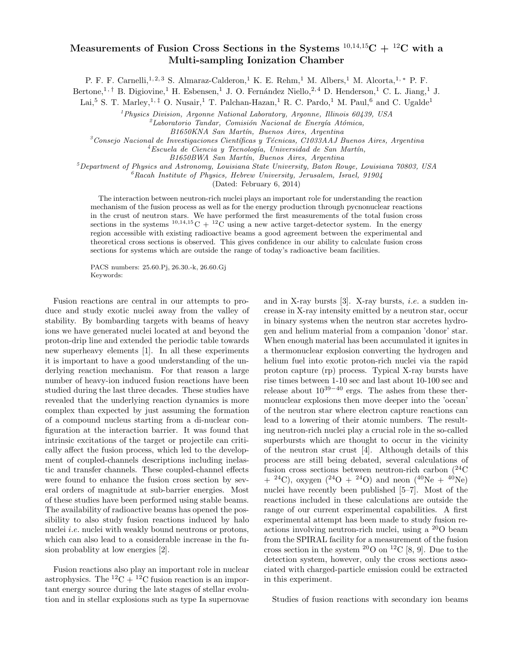## **Measurements of Fusion Cross Sections in the Systems**  $^{10,14,15}C + ^{12}C$  with a **Multi-sampling Ionization Chamber**

P. F. F. Carnelli,<sup>1,2,3</sup> S. Almaraz-Calderon,<sup>1</sup> K. E. Rehm,<sup>1</sup> M. Albers,<sup>1</sup> M. Alcorta,<sup>1,\*</sup> P. F.

Bertone,<sup>1,†</sup> B. Digiovine,<sup>1</sup> H. Esbensen,<sup>1</sup> J. O. Fernández Niello,<sup>2,4</sup> D. Henderson,<sup>1</sup> C. L. Jiang,<sup>1</sup> J.

Lai,<sup>5</sup> S. T. Marley,<sup>1,‡</sup> O. Nusair,<sup>1</sup> T. Palchan-Hazan,<sup>1</sup> R. C. Pardo,<sup>1</sup> M. Paul,<sup>6</sup> and C. Ugalde<sup>1</sup>

<sup>1</sup>*Physics Division, Argonne National Laboratory, Argonne, Illinois 60439, USA*

<sup>2</sup>Laboratorio Tandar, Comisión Nacional de Energía Atómica,

*B1650KNA San Mart´ın, Buenos Aires, Argentina* <sup>3</sup>*Consejo Nacional de Investigaciones Cient´ıficas y T´ecnicas, C1033AAJ Buenos Aires, Argentina*

<sup>4</sup>Escuela de Ciencia y Tecnología, Universidad de San Martín,

*B1650BWA San Mart´ın, Buenos Aires, Argentina*

<sup>5</sup>*Department of Physics and Astronomy, Louisiana State University, Baton Rouge, Louisiana 70803, USA*

<sup>6</sup>*Racah Institute of Physics, Hebrew University, Jerusalem, Israel, 91904*

(Dated: February 6, 2014)

The interaction between neutron-rich nuclei plays an important role for understanding the reaction mechanism of the fusion process as well as for the energy production through pycnonuclear reactions in the crust of neutron stars. We have performed the first measurements of the total fusion cross sections in the systems  $^{10,14,15}$ C +  $^{12}$ C using a new active target-detector system. In the energy region accessible with existing radioactive beams a good agreement between the experimental and theoretical cross sections is observed. This gives confidence in our ability to calculate fusion cross sections for systems which are outside the range of today's radioactive beam facilities.

PACS numbers: 25.60.Pj, 26.30.-k, 26.60.Gj Keywords:

Fusion reactions are central in our attempts to produce and study exotic nuclei away from the valley of stability. By bombarding targets with beams of heavy ions we have generated nuclei located at and beyond the proton-drip line and extended the periodic table towards new superheavy elements [1]. In all these experiments it is important to have a good understanding of the underlying reaction mechanism. For that reason a large number of heavy-ion induced fusion reactions have been studied during the last three decades. These studies have revealed that the underlying reaction dynamics is more complex than expected by just assuming the formation of a compound nucleus starting from a di-nuclear configuration at the interaction barrier. It was found that intrinsic excitations of the target or projectile can critically affect the fusion process, which led to the development of coupled-channels descriptions including inelastic and transfer channels. These coupled-channel effects were found to enhance the fusion cross section by several orders of magnitude at sub-barrier energies. Most of these studies have been performed using stable beams. The availability of radioactive beams has opened the possibility to also study fusion reactions induced by halo nuclei *i.e.* nuclei with weakly bound neutrons or protons, which can also lead to a considerable increase in the fusion probablity at low energies [2].

Fusion reactions also play an important role in nuclear astrophysics. The  ${}^{12}C + {}^{12}C$  fusion reaction is an important energy source during the late stages of stellar evolution and in stellar explosions such as type Ia supernovae and in X-ray bursts [3]. X-ray bursts, *i.e.* a sudden increase in X-ray intensity emitted by a neutron star, occur in binary systems when the neutron star accretes hydrogen and helium material from a companion 'donor' star. When enough material has been accumulated it ignites in a thermonuclear explosion converting the hydrogen and helium fuel into exotic proton-rich nuclei via the rapid proton capture (rp) process. Typical X-ray bursts have rise times between 1-10 sec and last about 10-100 sec and release about 10<sup>39</sup>−<sup>40</sup> ergs. The ashes from these thermonuclear explosions then move deeper into the 'ocean' of the neutron star where electron capture reactions can lead to a lowering of their atomic numbers. The resulting neutron-rich nuclei play a crucial role in the so-called superbursts which are thought to occur in the vicinity of the neutron star crust [4]. Although details of this process are still being debated, several calculations of fusion cross sections between neutron-rich carbon  $(^{24}C)$  $+$  <sup>24</sup>C), oxygen (<sup>24</sup>O + <sup>24</sup>O) and neon (<sup>40</sup>Ne + <sup>40</sup>Ne) nuclei have recently been published [5–7]. Most of the reactions included in these calculations are outside the range of our current experimental capabilities. A first experimental attempt has been made to study fusion reactions involving neutron-rich nuclei, using a <sup>20</sup>O beam from the SPIRAL facility for a measurement of the fusion cross section in the system  $^{20}$ O on  $^{12}$ C [8, 9]. Due to the detection system, however, only the cross sections associated with charged-particle emission could be extracted in this experiment.

Studies of fusion reactions with secondary ion beams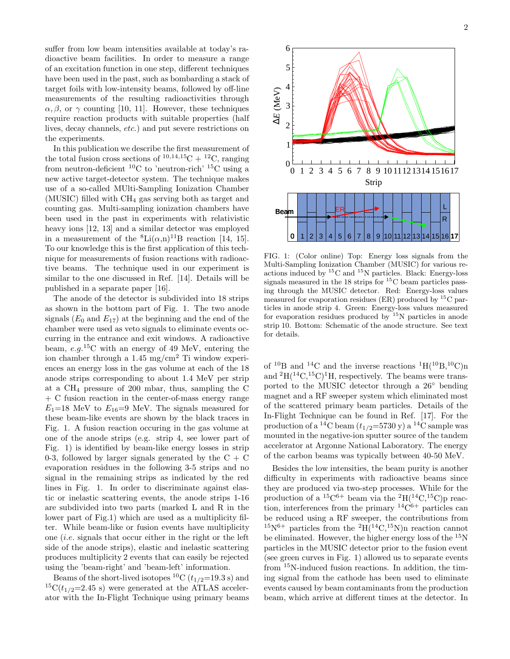suffer from low beam intensities available at today's radioactive beam facilities. In order to measure a range of an excitation function in one step, different techniques have been used in the past, such as bombarding a stack of target foils with low-intensity beams, followed by off-line measurements of the resulting radioactivities through  $\alpha, \beta$ , or  $\gamma$  counting [10, 11]. However, these techniques require reaction products with suitable properties (half lives, decay channels, *etc.*) and put severe restrictions on the experiments.

In this publication we describe the first measurement of the total fusion cross sections of  $^{10,14,15}C + ^{12}C$ , ranging from neutron-deficient  ${}^{10}$ C to 'neutron-rich'  ${}^{15}$ C using a new active target-detector system. The technique makes use of a so-called MUlti-Sampling Ionization Chamber (MUSIC) filled with  $CH_4$  gas serving both as target and counting gas. Multi-sampling ionization chambers have been used in the past in experiments with relativistic heavy ions [12, 13] and a similar detector was employed in a measurement of the  ${}^{8}$ Li( $\alpha$ ,n)<sup>11</sup>B reaction [14, 15]. To our knowledge this is the first application of this technique for measurements of fusion reactions with radioactive beams. The technique used in our experiment is similar to the one discussed in Ref. [14]. Details will be published in a separate paper [16].

The anode of the detector is subdivided into 18 strips as shown in the bottom part of Fig. 1. The two anode signals  $(E_0 \text{ and } E_{17})$  at the beginning and the end of the chamber were used as veto signals to eliminate events occurring in the entrance and exit windows. A radioactive beam, *e.g.*<sup>15</sup>C with an energy of 49 MeV, entering the ion chamber through a 1.45 mg/cm<sup>2</sup> Ti window experiences an energy loss in the gas volume at each of the 18 anode strips corresponding to about 1.4 MeV per strip at a  $CH_4$  pressure of 200 mbar, thus, sampling the C + C fusion reaction in the center-of-mass energy range  $E_1=18$  MeV to  $E_{16}=9$  MeV. The signals measured for these beam-like events are shown by the black traces in Fig. 1. A fusion reaction occuring in the gas volume at one of the anode strips (e.g. strip 4, see lower part of Fig. 1) is identified by beam-like energy losses in strip 0-3, followed by larger signals generated by the  $C + C$ evaporation residues in the following 3-5 strips and no signal in the remaining strips as indicated by the red lines in Fig. 1. In order to discriminate against elastic or inelastic scattering events, the anode strips 1-16 are subdivided into two parts (marked L and R in the lower part of Fig.1) which are used as a multiplicity filter. While beam-like or fusion events have multiplicity one (*i.e.* signals that occur either in the right or the left side of the anode strips), elastic and inelastic scattering produces multiplicity 2 events that can easily be rejected using the 'beam-right' and 'beam-left' information.

Beams of the short-lived isotopes <sup>10</sup>C ( $t_{1/2}$ =19.3 s) and <sup>15</sup>C( $t_{1/2}$ =2.45 s) were generated at the ATLAS accelerator with the In-Flight Technique using primary beams



FIG. 1: (Color online) Top: Energy loss signals from the Multi-Sampling Ionization Chamber (MUSIC) for various reactions induced by <sup>15</sup>C and <sup>15</sup>N particles. Black: Energy-loss signals measured in the 18 strips for <sup>15</sup>C beam particles passing through the MUSIC detector. Red: Energy-loss values measured for evaporation residues (ER) produced by  ${}^{15}C$  particles in anode strip 4. Green: Energy-loss values measured for evaporation residues produced by  $15N$  particles in anode strip 10. Bottom: Schematic of the anode structure. See text for details.

of <sup>10</sup>B and <sup>14</sup>C and the inverse reactions <sup>1</sup>H(<sup>10</sup>B,<sup>10</sup>C)n and  ${}^{2}H({}^{14}C,{}^{15}C){}^{1}H$ , respectively. The beams were transported to the MUSIC detector through a 26◦ bending magnet and a RF sweeper system which eliminated most of the scattered primary beam particles. Details of the In-Flight Technique can be found in Ref. [17]. For the production of a <sup>14</sup>C beam  $(t_{1/2}=5730 \text{ y})$  a <sup>14</sup>C sample was mounted in the negative-ion sputter source of the tandem accelerator at Argonne National Laboratory. The energy of the carbon beams was typically between 40-50 MeV.

Besides the low intensities, the beam purity is another difficulty in experiments with radioactive beams since they are produced via two-step processes. While for the production of a  ${}^{15}C^{6+}$  beam via the  ${}^{2}H({}^{14}C,{}^{15}C)p$  reaction, interferences from the primary  $14C^{6+}$  particles can be reduced using a RF sweeper, the contributions from  $15N^{6+}$  particles from the  $^{2}H(^{14}C,^{15}N)n$  reaction cannot be eliminated. However, the higher energy loss of the  $^{15}N$ particles in the MUSIC detector prior to the fusion event (see green curves in Fig. 1) allowed us to separate events from <sup>15</sup>N-induced fusion reactions. In addition, the timing signal from the cathode has been used to eliminate events caused by beam contaminants from the production beam, which arrive at different times at the detector. In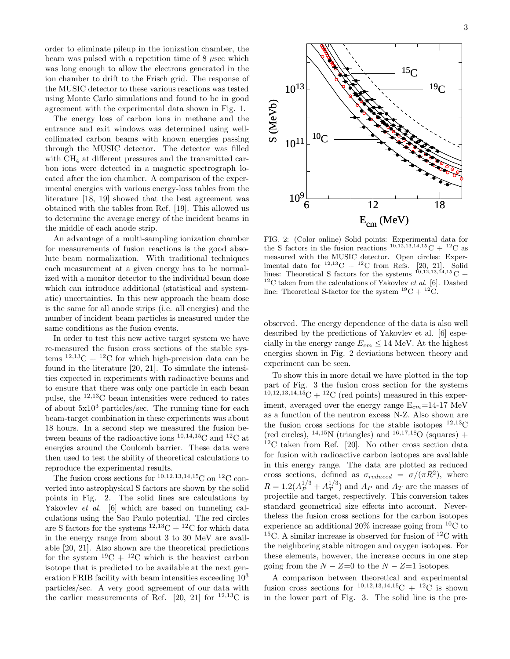order to eliminate pileup in the ionization chamber, the beam was pulsed with a repetition time of 8 *µ*sec which was long enough to allow the electrons generated in the ion chamber to drift to the Frisch grid. The response of the MUSIC detector to these various reactions was tested using Monte Carlo simulations and found to be in good agreement with the experimental data shown in Fig. 1.

The energy loss of carbon ions in methane and the entrance and exit windows was determined using wellcollimated carbon beams with known energies passing through the MUSIC detector. The detector was filled with CH<sub>4</sub> at different pressures and the transmitted carbon ions were detected in a magnetic spectrograph located after the ion chamber. A comparison of the experimental energies with various energy-loss tables from the literature [18, 19] showed that the best agreement was obtained with the tables from Ref. [19]. This allowed us to determine the average energy of the incident beams in the middle of each anode strip.

An advantage of a multi-sampling ionization chamber for measurements of fusion reactions is the good absolute beam normalization. With traditional techniques each measurement at a given energy has to be normalized with a monitor detector to the individual beam dose which can introduce additional (statistical and systematic) uncertainties. In this new approach the beam dose is the same for all anode strips (i.e. all energies) and the number of incident beam particles is measured under the same conditions as the fusion events.

In order to test this new active target system we have re-measured the fusion cross sections of the stable systems  $12,13C + 12C$  for which high-precision data can be found in the literature [20, 21]. To simulate the intensities expected in experiments with radioactive beams and to ensure that there was only one particle in each beam pulse, the <sup>12</sup>,<sup>13</sup>C beam intensities were reduced to rates of about  $5x10^3$  particles/sec. The running time for each beam-target combination in these experiments was about 18 hours. In a second step we measured the fusion between beams of the radioactive ions  $^{10,14,15}\mathrm{C}$  and  $^{12}\mathrm{C}$  at energies around the Coulomb barrier. These data were then used to test the ability of theoretical calculations to reproduce the experimental results.

The fusion cross sections for  $^{10,12,13,14,15}$ C on  $^{12}$ C converted into astrophysical S factors are shown by the solid points in Fig. 2. The solid lines are calculations by Yakovlev *et al.* [6] which are based on tunneling calculations using the Sao Paulo potential. The red circles are S factors for the systems  $12,13C + 12C$  for which data in the energy range from about 3 to 30 MeV are available [20, 21]. Also shown are the theoretical predictions for the system  $^{19}C + ^{12}C$  which is the heaviest carbon isotope that is predicted to be available at the next generation FRIB facility with beam intensities exceeding 10<sup>3</sup> particles/sec. A very good agreement of our data with the earlier measurements of Ref. [20, 21] for  $^{12,13}$ C is

3



FIG. 2: (Color online) Solid points: Experimental data for the S factors in the fusion reactions  $^{10,12,13,14,15}$ C +  $^{12}$ C as measured with the MUSIC detector. Open circles: Experimental data for  $^{12,13}$ C +  $^{12}$ C from Refs. [20, 21]. Solid lines: Theoretical S factors for the systems  $^{10,12,13,14,15}$ C +  $12$ C taken from the calculations of Yakovlev *et al.* [6]. Dashed line: Theoretical S-factor for the system  $^{19}C + ^{12}C$ .

observed. The energy dependence of the data is also well described by the predictions of Yakovlev et al. [6] especially in the energy range  $E_{cm} \leq 14$  MeV. At the highest energies shown in Fig. 2 deviations between theory and experiment can be seen.

To show this in more detail we have plotted in the top part of Fig. 3 the fusion cross section for the systems  $10,12,13,14,15C + 12C$  (red points) measured in this experiment, averaged over the energy range  $E_{cm}$ =14-17 MeV as a function of the neutron excess N-Z. Also shown are the fusion cross sections for the stable isotopes  $^{12,13}$ C (red circles),  $^{14,15}N$  (triangles) and  $^{16,17,18}O$  (squares) +  $12C$  taken from Ref. [20]. No other cross section data for fusion with radioactive carbon isotopes are available in this energy range. The data are plotted as reduced cross sections, defined as  $\sigma_{reduced} = \sigma/(\pi R^2)$ , where  $R = 1.2(A_P^{1/3} + A_T^{1/3})$  and  $A_P$  and  $A_T$  are the masses of projectile and target, respectively. This conversion takes standard geometrical size effects into account. Nevertheless the fusion cross sections for the carbon isotopes experience an additional  $20\%$  increase going from  ${}^{10}$ C to <sup>15</sup>C. A similar increase is observed for fusion of <sup>12</sup>C with the neighboring stable nitrogen and oxygen isotopes. For these elements, however, the increase occurs in one step going from the  $N - Z = 0$  to the  $N - Z = 1$  isotopes.

A comparison between theoretical and experimental fusion cross sections for  $^{10,12,13,14,15}$ C +  $^{12}$ C is shown in the lower part of Fig. 3. The solid line is the pre-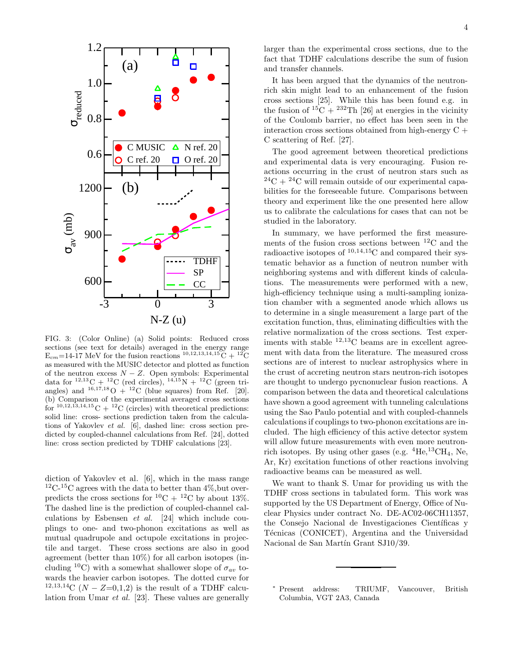

FIG. 3: (Color Online) (a) Solid points: Reduced cross sections (see text for details) averaged in the energy range  $E_{cm}$ =14-17 MeV for the fusion reactions  $^{10,12,13,14,15}C + ^{12}C$ as measured with the MUSIC detector and plotted as function of the neutron excess  $N - Z$ . Open symbols: Experimental data for <sup>12,13</sup>C + <sup>12</sup>C (red circles), <sup>14,15</sup>N + <sup>12</sup>C (green triangles) and  $^{16,17,18}$ O +  $^{12}$ C (blue squares) from Ref. [20]. (b) Comparison of the experimental averaged cross sections for  $^{10,12,13,14,15}$ C +  $^{12}$ C (circles) with theoretical predictions: solid line: cross- sections prediction taken from the calculations of Yakovlev *et al.* [6], dashed line: cross section predicted by coupled-channel calculations from Ref. [24], dotted line: cross section predicted by TDHF calculations [23].

diction of Yakovlev et al. [6], which in the mass range  ${}^{12}C$ - ${}^{15}C$  agrees with the data to better than 4%, but overpredicts the cross sections for  ${}^{10}C + {}^{12}C$  by about 13%. The dashed line is the prediction of coupled-channel calculations by Esbensen et al. [24] which include couplings to one- and two-phonon excitations as well as mutual quadrupole and octupole excitations in projectile and target. These cross sections are also in good agreement (better than 10%) for all carbon isotopes (including <sup>10</sup>C) with a somewhat shallower slope of  $\sigma_{av}$  towards the heavier carbon isotopes. The dotted curve for <sup>12,13,14</sup>C ( $N - Z = 0,1,2$ ) is the result of a TDHF calculation from Umar et al. [23]. These values are generally

4

larger than the experimental cross sections, due to the fact that TDHF calculations describe the sum of fusion and transfer channels.

It has been argued that the dynamics of the neutronrich skin might lead to an enhancement of the fusion cross sections [25]. While this has been found e.g. in the fusion of  ${}^{15}C + {}^{232}Th$  [26] at energies in the vicinity of the Coulomb barrier, no effect has been seen in the interaction cross sections obtained from high-energy C + C scattering of Ref. [27].

The good agreement between theoretical predictions and experimental data is very encouraging. Fusion reactions occurring in the crust of neutron stars such as  $^{24}$ C +  $^{24}$ C will remain outside of our experimental capabilities for the foreseeable future. Comparisons between theory and experiment like the one presented here allow us to calibrate the calculations for cases that can not be studied in the laboratory.

In summary, we have performed the first measurements of the fusion cross sections between  ${}^{12}$ C and the radioactive isotopes of <sup>10</sup>,14,<sup>15</sup>C and compared their systematic behavior as a function of neutron number with neighboring systems and with different kinds of calculations. The measurements were performed with a new, high-efficiency technique using a multi-sampling ionization chamber with a segmented anode which allows us to determine in a single measurement a large part of the excitation function, thus, eliminating difficulties with the relative normalization of the cross sections. Test experiments with stable  $^{12,13}$ C beams are in excellent agreement with data from the literature. The measured cross sections are of interest to nuclear astrophysics where in the crust of accreting neutron stars neutron-rich isotopes are thought to undergo pycnonuclear fusion reactions. A comparison between the data and theoretical calculations have shown a good agreement with tunneling calculations using the Sao Paulo potential and with coupled-channels calculations if couplings to two-phonon excitations are included. The high efficiency of this active detector system will allow future measurements with even more neutronrich isotopes. By using other gases (e.g.  ${}^{4}$ He,  ${}^{13}$ CH<sub>4</sub>, Ne, Ar, Kr) excitation functions of other reactions involving radioactive beams can be measured as well.

We want to thank S. Umar for providing us with the TDHF cross sections in tabulated form. This work was supported by the US Department of Energy, Office of Nuclear Physics under contract No. DE-AC02-06CH11357, the Consejo Nacional de Investigaciones Científicas y Técnicas (CONICET), Argentina and the Universidad Nacional de San Martín Grant SJ10/39.

<sup>∗</sup> Present address: TRIUMF, Vancouver, British Columbia, VGT 2A3, Canada